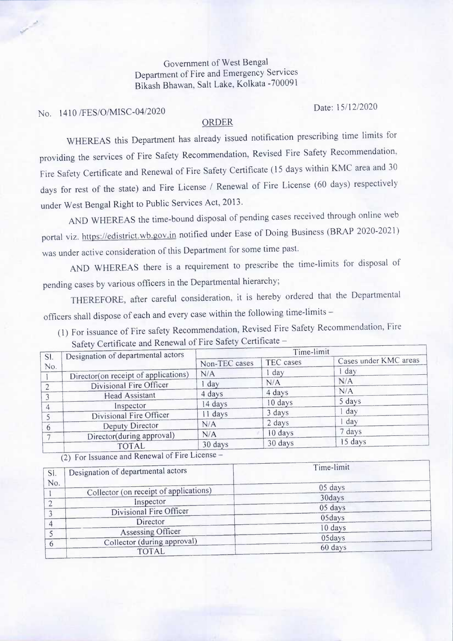Government of West Bengal Department of Fire and Emergency Services Bikash Bhawan, Salt Lake, Kolkata -700091

No. 1410 /FES/O/MISC-04/2020 Date: 15/12/2020

 $\mathcal{S}^{\mu\nu}$ 

## ORDER

WHEREAS this Department has already issued notification prescribing time limits for providing the services of Fire Safety Recommendation, Revised Fire Safety Recommendation, Fire Safety Certificate and Renewal of Fire Safety Certificate ( 15 days within KMC area and 30 days for rest of the state) and Fire License / Renewal of Fire License (60 days) respectively under West Bengal Right to Public Services Act, 2013.

AND WHEREAS the time-bound disposal of pending cases received through online web portal viz. https://edistrict. wb.gov.in notified under Ease of Doing Business (BRAP 2020-2021) was under active consideration of this Department for some time past.

AND WHEREAS there is a requirement to prescribe the time-limits for disposal of pending cases by various officers in the Departmental hierarchy;

THEREFORE, after careful consideration, it is hereby ordered that the Departmental officers shall dispose of each and every case within the following time-limits -

(1) For issuance of Fire safety Recommendation, Revised Fire Safety Recommendation, Fire Safety Certificate and Renewal of Fire Safety Certificate -

|            | $U = V$<br>Designation of departmental actors | Time-limit    |           |                       |
|------------|-----------------------------------------------|---------------|-----------|-----------------------|
| SI.<br>No. |                                               | Non-TEC cases | TEC cases | Cases under KMC areas |
|            | Director(on receipt of applications)          | N/A           | 1 day     | 1 day                 |
|            | Divisional Fire Officer                       | 1 day         | N/A       | N/A                   |
|            | Head Assistant                                | 4 days        | 4 days    | N/A                   |
|            | Inspector                                     | 14 days       | 10 days   | 5 days                |
|            | Divisional Fire Officer                       | 11 days       | 3 days    | day                   |
| 6          | Deputy Director                               | N/A           | 2 days    | <sub>l</sub> day      |
|            | Director(during approval)                     | N/A           | 10 days   | 7 days                |
|            | <b>TOTAL</b>                                  | 30 days       | 30 days   | 15 days               |

(2) For Issuance and Renewal of Fire License -

| Designation of departmental actors | Time-limit                                                                                                         |                                        |
|------------------------------------|--------------------------------------------------------------------------------------------------------------------|----------------------------------------|
|                                    | 05 days                                                                                                            |                                        |
| Inspector                          |                                                                                                                    |                                        |
|                                    | 05days                                                                                                             |                                        |
|                                    | 10 days                                                                                                            |                                        |
| Collector (during approval)        |                                                                                                                    |                                        |
|                                    | Collector (on receipt of applications)<br>Divisional Fire Officer<br>Director<br>Assessing Officer<br><b>TOTAL</b> | 30days<br>05 days<br>05days<br>60 days |